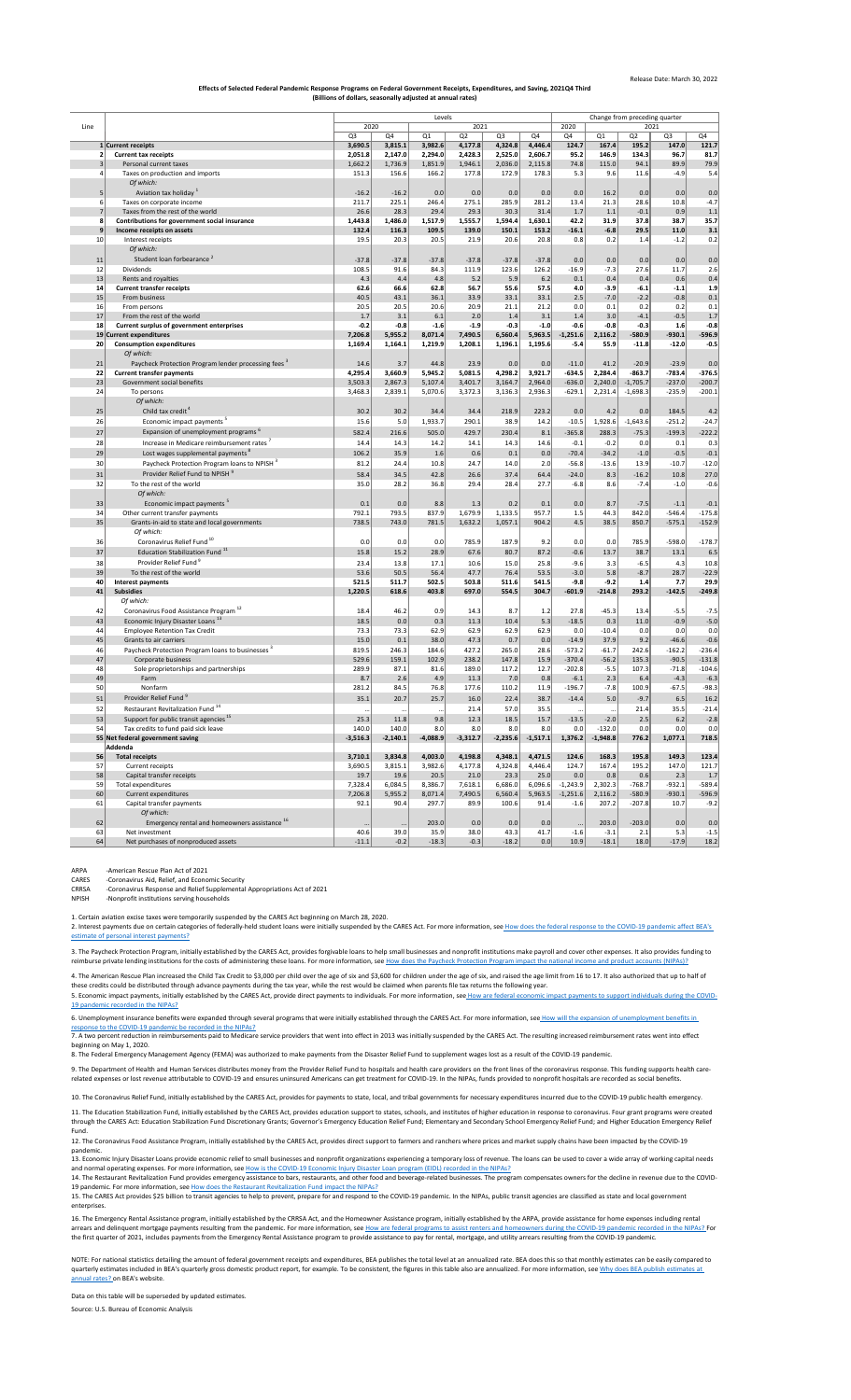|                 |                                                                 |                |              | Levels     |            |                | Change from preceding quarter |              |            |                |                |          |
|-----------------|-----------------------------------------------------------------|----------------|--------------|------------|------------|----------------|-------------------------------|--------------|------------|----------------|----------------|----------|
| Line            |                                                                 |                | 2021<br>2020 |            |            |                |                               | 2020<br>2021 |            |                |                |          |
|                 |                                                                 | Q <sub>3</sub> | Q4           | Q1         | Q2         | Q <sub>3</sub> | Q4                            | Q4           | Q1         | Q <sub>2</sub> | Q <sub>3</sub> | Q4       |
|                 | 1 Current receipts                                              | 3,690.5        | 3,815.1      | 3,982.6    | 4,177.8    | 4,324.8        | 4,446.4                       | 124.7        | 167.4      | 195.2          | 147.0          | 121.7    |
|                 | <b>Current tax receipts</b>                                     | 2,051.8        | 2,147.0      | 2,294.0    | 2,428.3    | 2,525.0        | 2,606.7                       | 95.2         | 146.9      | 134.3          | 96.7           | 81.7     |
|                 | Personal current taxes                                          | 1,662.2        | 1,736.9      | 1,851.9    | 1,946.1    | 2,036.0        | 2,115.8                       | 74.8         | 115.0      | 94.1           | 89.9           | 79.9     |
|                 | Taxes on production and imports                                 | 151.3          | 156.6        | 166.2      | 177.8      | 172.9          | 178.3                         | 5.3          | 9.6        | 11.6           | $-4.9$         | 5.4      |
|                 | Of which:                                                       |                |              |            |            |                |                               |              |            |                |                |          |
| 5 <sup>2</sup>  | Aviation tax holiday 1                                          | $-16.2$        | $-16.2$      | 0.0        | 0.0        | 0.0            | 0.0                           | 0.0          | 16.2       | 0.0            | 0.0            | 0.0      |
| 61              | Taxes on corporate income                                       | 211.7          | 225.1        | 246.4      | 275.1      | 285.9          | 281.2                         | 13.4         | 21.3       | 28.6           | 10.8           | $-4.7$   |
|                 | Taxes from the rest of the world                                | 26.6           | 28.3         | 29.4       | 29.3       | 30.3           | 31.4                          | 1.7          | 1.1        | $-0.1$         | 0.9            | 1.1      |
| $\mathbf{8}$    | Contributions for government social insurance                   | 1,443.8        | 1,486.0      | 1,517.9    | 1,555.7    | 1,594.4        | 1,630.1                       | 42.2         | 31.9       | 37.8           | 38.7           | 35.7     |
| 9               | Income receipts on assets                                       | 132.4          | 116.3        | 109.5      | 139.0      | 150.1          | 153.2                         | $-16.1$      | $-6.8$     | 29.5           | 11.0           | 3.1      |
| 10 <sup>1</sup> | Interest receipts                                               | 19.5           | 20.3         | 20.5       | 21.9       | 20.6           | 20.8                          | 0.8          | 0.2        | 1.4            | $-1.2$         | 0.2      |
|                 | Of which:                                                       |                |              |            |            |                |                               |              |            |                |                |          |
| 11              | Student loan forbearance <sup>2</sup>                           | $-37.8$        | $-37.8$      | $-37.8$    | $-37.8$    | $-37.8$        | $-37.8$                       | 0.0          | 0.0        | 0.0            | 0.0            | 0.0      |
| 12              | Dividends                                                       | 108.5          | 91.6         | 84.3       | 111.9      | 123.6          | 126.2                         | $-16.9$      | $-7.3$     | 27.6           | 11.7           | 2.6      |
| 13              | Rents and royalties                                             | 4.3            | 4.4          | 4.8        | 5.2        | 5.9            | 6.2                           | 0.1          | 0.4        | 0.4            | 0.6            | 0.4      |
| 14              | <b>Current transfer receipts</b>                                | 62.6           | 66.6         | 62.8       | 56.7       | 55.6           | 57.5                          | 4.0          | $-3.9$     | $-6.1$         | $-1.1$         | 1.9      |
| 15              | From business                                                   | 40.5           | 43.1         | 36.1       | 33.9       | 33.1           | 33.1                          | 2.5          | $-7.0$     | $-2.2$         | $-0.8$         | 0.1      |
| 16              | From persons                                                    | 20.5           | 20.5         | 20.6       | 20.9       | 21.1           | 21.2                          | 0.0          | 0.1        | 0.2            | 0.2            | 0.1      |
| 17              | From the rest of the world                                      | 1.7            | 3.1          | 6.1        | 2.0        | 1.4            | 3.1                           | 1.4          | 3.0        | $-4.1$         | $-0.5$         | 1.7      |
| 18              | <b>Current surplus of government enterprises</b>                | $-0.2$         | $-0.8$       | $-1.6$     | $-1.9$     | $-0.3$         | $-1.0$                        | $-0.6$       | $-0.8$     | $-0.3$         | 1.6            | $-0.8$   |
|                 | 19 Current expenditures                                         | 7,206.8        | 5,955.2      | 8,071.4    | 7,490.5    | 6,560.4        | 5,963.5                       | $-1,251.6$   | 2,116.2    | $-580.9$       | $-930.1$       | $-596.9$ |
| 20 <sup>1</sup> | <b>Consumption expenditures</b>                                 | 1,169.4        | 1,164.1      | 1,219.9    | 1,208.1    | 1,196.1        | 1,195.6                       | $-5.4$       | 55.9       | $-11.8$        | $-12.0$        | $-0.5$   |
|                 | Of which:                                                       |                |              |            |            |                |                               |              |            |                |                |          |
| 21              | Paycheck Protection Program lender processing fees <sup>3</sup> | 14.6           | 3.7          | 44.8       | 23.9       | 0.0            | 0.0                           | $-11.0$      | 41.2       | $-20.9$        | $-23.9$        | 0.0      |
| 22              | <b>Current transfer payments</b>                                | 4,295.4        | 3,660.9      | 5,945.2    | 5,081.5    | 4,298.2        | 3,921.7                       | $-634.5$     | 2,284.4    | $-863.7$       | $-783.4$       | $-376.5$ |
| 23              | Government social benefits                                      | 3,503.3        | 2,867.3      | 5,107.4    | 3,401.7    | 3,164.7        | 2,964.0                       | $-636.0$     | 2,240.0    | $-1,705.7$     | $-237.0$       | $-200.7$ |
| 24              | To persons                                                      | 3,468.3        | 2,839.1      | 5,070.6    | 3,372.3    | 3,136.3        | 2,936.3                       | $-629.1$     | 2,231.4    | $-1,698.3$     | $-235.9$       | $-200.1$ |
|                 | Of which:                                                       |                |              |            |            |                |                               |              |            |                |                |          |
| 25              | Child tax credit                                                | 30.2           | 30.2         | 34.4       | 34.4       | 218.9          | 223.2                         | 0.0          | 4.2        | 0.0            | 184.5          | 4.2      |
| 26              | Economic impact payments <sup>5</sup>                           | 15.6           | 5.0          | 1,933.7    | 290.1      | 38.9           | 14.2                          | $-10.5$      | 1,928.6    | $-1,643.6$     | $-251.2$       | $-24.7$  |
| 27              | Expansion of unemployment programs <sup>6</sup>                 | 582.4          | 216.6        | 505.0      | 429.7      | 230.4          | 8.1                           | $-365.8$     | 288.3      | $-75.3$        | $-199.3$       | $-222.2$ |
| 28              | Increase in Medicare reimbursement rates <sup>7</sup>           | 14.4           | 14.3         | 14.2       | 14.1       | 14.3           | 14.6                          | $-0.1$       | $-0.2$     | 0.0            | 0.1            | 0.3      |
|                 |                                                                 |                |              |            |            |                |                               |              |            |                |                |          |
| 29              | Lost wages supplemental payments <sup>8</sup>                   | 106.2          | 35.9         | 1.6        | 0.6        | 0.1            | 0.0                           | $-70.4$      | $-34.2$    | $-1.0$         | $-0.5$         | $-0.1$   |
| 30              | Paycheck Protection Program loans to NPISH <sup>3</sup>         | 81.2           | 24.4         | 10.8       | 24.7       | 14.0           | 2.0                           | $-56.8$      | $-13.6$    | 13.9           | $-10.7$        | $-12.0$  |
| 31              | Provider Relief Fund to NPISH <sup>9</sup>                      | 58.4           | 34.5         | 42.8       | 26.6       | 37.4           | 64.4                          | $-24.0$      | 8.3        | $-16.2$        | 10.8           | 27.0     |
| 32              | To the rest of the world                                        | 35.0           | 28.2         | 36.8       | 29.4       | 28.4           | 27.7                          | $-6.8$       | 8.6        | $-7.4$         | $-1.0$         | $-0.6$   |
|                 | Of which:                                                       |                |              |            |            |                |                               |              |            |                |                |          |
| 33              | Economic impact payments <sup>5</sup>                           | 0.1            | 0.0          | 8.8        | 1.3        | 0.2            | 0.1                           | 0.0          | 8.7        | $-7.5$         | $-1.1$         | $-0.1$   |
| 34              | Other current transfer payments                                 | 792.1          | 793.5        | 837.9      | 1,679.9    | 1,133.5        | 957.7                         | 1.5          | 44.3       | 842.0          | $-546.4$       | $-175.8$ |
| 35              | Grants-in-aid to state and local governments                    | 738.5          | 743.0        | 781.5      | 1,632.2    | 1,057.1        | 904.2                         | 4.5          | 38.5       | 850.7          | $-575.1$       | $-152.9$ |
|                 | Of which:                                                       |                |              |            |            |                |                               |              |            |                |                |          |
| 36              | Coronavirus Relief Fund <sup>10</sup>                           | 0.0            | 0.0          | 0.0        | 785.9      | 187.9          | 9.2                           | 0.0          | 0.0        | 785.9          | $-598.0$       | $-178.7$ |
| 37              | Education Stabilization Fund <sup>11</sup>                      | 15.8           | 15.2         | 28.9       | 67.6       | 80.7           | 87.2                          | $-0.6$       | 13.7       | 38.7           | 13.1           | 6.5      |
| 38              | Provider Relief Fund <sup>9</sup>                               | 23.4           | 13.8         | 17.1       | 10.6       | 15.0           | 25.8                          | $-9.6$       | 3.3        | $-6.5$         | 4.3            | 10.8     |
| 39              | To the rest of the world                                        | 53.6           | 50.5         | 56.4       | 47.7       | 76.4           | 53.5                          | $-3.0$       | 5.8        | $-8.7$         | 28.7           | $-22.9$  |
| 40 <sup>°</sup> | Interest payments                                               | 521.5          | 511.7        | 502.5      | 503.8      | 511.6          | 541.5                         | $-9.8$       | $-9.2$     | 1.4            | 7.7            | 29.9     |
| 41              | <b>Subsidies</b>                                                | 1,220.5        | 618.6        | 403.8      | 697.0      | 554.5          | 304.7                         | $-601.9$     | $-214.8$   | 293.2          | $-142.5$       | $-249.8$ |
|                 | Of which:                                                       |                |              |            |            |                |                               |              |            |                |                |          |
|                 |                                                                 |                |              |            |            |                |                               |              |            |                |                |          |
| 42              | Coronavirus Food Assistance Program <sup>12</sup>               | 18.4           | 46.2         | 0.9        | 14.3       | 8.7            | 1.2                           | 27.8         | $-45.3$    | 13.4           | $-5.5$         | $-7.5$   |
| 43              | Economic Injury Disaster Loans <sup>13</sup>                    | 18.5           | 0.0          | 0.3        | 11.3       | 10.4           | 5.3                           | $-18.5$      | 0.3        | 11.0           | $-0.9$         | $-5.0$   |
| 44              | <b>Employee Retention Tax Credit</b>                            | 73.3           | 73.3         | 62.9       | 62.9       | 62.9           | 62.9                          | 0.0          | $-10.4$    | 0.0            | 0.0            | 0.0      |
| 45              | Grants to air carriers                                          | 15.0           | 0.1          | 38.0       | 47.3       | 0.7            | 0.0                           | $-14.9$      | 37.9       | 9.2            | $-46.6$        | $-0.6$   |
| 46              | Paycheck Protection Program loans to businesses <sup>3</sup>    | 819.5          | 246.3        | 184.6      | 427.2      | 265.0          | 28.6                          | $-573.2$     | $-61.7$    | 242.6          | $-162.2$       | $-236.4$ |
| 47              | Corporate business                                              | 529.6          | 159.1        | 102.9      | 238.2      | 147.8          | 15.9                          | $-370.4$     | $-56.2$    | 135.3          | $-90.5$        | $-131.8$ |
| 48              | Sole proprietorships and partnerships                           | 289.9          | 87.1         | 81.6       | 189.0      | 117.2          | 12.7                          | $-202.8$     | $-5.5$     | 107.3          | $-71.8$        | $-104.6$ |
| 49              | Farm                                                            | 8.7            | 2.6          | 4.9        | 11.3       | 7.0            | 0.8                           | $-6.1$       | 2.3        | 6.4            | $-4.3$         | $-6.3$   |
| 50              | Nonfarm                                                         | 281.2          | 84.5         | 76.8       | 177.6      | 110.2          | 11.9                          | $-196.7$     | $-7.8$     | 100.9          | $-67.5$        | $-98.3$  |
| 51              | Provider Relief Fund 9                                          | 35.1           | 20.7         | 25.7       | 16.0       | 22.4           | 38.7                          | $-14.4$      | 5.0        | $-9.7$         | 6.5            | 16.2     |
| 52              | Restaurant Revitalization Fund <sup>14</sup>                    | $\cdots$       |              | $\cdots$   | 21.4       | 57.0           | 35.5                          |              | $\cdots$   | 21.4           | 35.5           | $-21.4$  |
| 53              | Support for public transit agencies <sup>15</sup>               | 25.3           | 11.8         | 9.8        | 12.3       | 18.5           | 15.7                          | $-13.5$      | $-2.0$     | 2.5            | 6.2            | $-2.8$   |
| 54              | Tax credits to fund paid sick leave                             | 140.0          | 140.0        | 8.0        | 8.0        | 8.0            | 8.0                           | 0.0          | $-132.0$   | 0.0            | 0.0            | 0.0      |
|                 | 55 Net federal government saving                                | $-3,516.3$     | $-2,140.1$   | $-4,088.9$ | $-3,312.7$ | $-2,235.6$     | $-1,517.1$                    | 1,376.2      | $-1,948.8$ | 776.2          | 1,077.1        | 718.5    |
|                 | Addenda                                                         |                |              |            |            |                |                               |              |            |                |                |          |
| 56              | <b>Total receipts</b>                                           | 3,710.1        | 3,834.8      | 4,003.0    | 4,198.8    | 4,348.1        | 4,471.5                       | 124.6        | 168.3      | 195.8          | 149.3          | 123.4    |
| 57              | Current receipts                                                | 3,690.5        | 3,815.1      | 3,982.6    | 4,177.8    | 4,324.8        | 4,446.4                       | 124.7        | 167.4      | 195.2          | 147.0          | 121.7    |
| 58              | Capital transfer receipts                                       | 19.7           | 19.6         | 20.5       | 21.0       | 23.3           | 25.0                          | 0.0          | 0.8        | 0.6            | 2.3            | 1.7      |
| 59              | Total expenditures                                              | 7,328.4        | 6,084.5      | 8,386.7    | 7,618.1    | 6,686.0        | 6,096.6                       | $-1,243.9$   | 2,302.3    | $-768.7$       | $-932.1$       | $-589.4$ |
| 60              | Current expenditures                                            | 7,206.8        | 5,955.2      | 8,071.4    | 7,490.5    | 6,560.4        | 5,963.5                       | $-1,251.6$   | 2,116.2    | $-580.9$       | $-930.1$       | $-596.9$ |
| 61              | Capital transfer payments                                       | 92.1           | 90.4         | 297.7      | 89.9       | 100.6          | 91.4                          | $-1.6$       | 207.2      | $-207.8$       | 10.7           | $-9.2$   |
|                 | Of which:                                                       |                |              |            |            |                |                               |              |            |                |                |          |
| 62              | Emergency rental and homeowners assistance 16                   |                |              | 203.0      | 0.0        | 0.0            | 0.0                           |              | 203.0      | $-203.0$       | 0.0            | 0.0      |
| 63              | Net investment                                                  | 40.6           | 39.0         | 35.9       | 38.0       | 43.3           | 41.7                          | $-1.6$       | $-3.1$     | 2.1            | 5.3            | $-1.5$   |
| 64              | Net purchases of nonproduced assets                             | $-11.1$        | $-0.2$       | $-18.3$    | $-0.3$     | $-18.2$        | 0.0                           | 10.9         | $-18.1$    | 18.0           | $-17.9$        | 18.2     |
|                 |                                                                 |                |              |            |            |                |                               |              |            |                |                |          |

[2. Interest payments due on certain categories of federally-held student loans were initially suspended by the CARES Act. For more information, see](https://www.bea.gov/help/faq/1407) How does the federal response to the COVID-19 pandemic affect BEA's [estimate of](https://www.bea.gov/help/faq/1407) personal interest payments?

[3. The Paych](https://www.bea.gov/help/faq/1408)eck Protection Program, initially established by the CARES Act, provides forgivable loans to help small businesses and nonprofit institutions make payroll and cover other expenses. It also provides funding to [reimburse private lending institutions for the costs of administering these loans. For more information, see H](https://www.bea.gov/help/faq/1408)ow does the Paycheck Protection Program impact the national income and product accounts (NIPAs)?

[5. Economic impact payments, initially established by the CARES Act, provide direct payments to individuals. For more information, see](https://www.bea.gov/help/faq/1409) How are federal economic impact payments to support individuals during the COVID-[19 pandem](https://www.bea.gov/help/faq/1409)ic recorded in the NIPAs?

[6. Unemployment insurance benefits were expanded through several programs that were initially established through the CARES Act. For more information, see](https://www.bea.gov/help/faq/1415) How will the expansion of unemployment benefits in [response to](https://www.bea.gov/help/faq/1415) the COVID-19 pandemic be recorded in the NIPAs?

[NOTE: For n](https://www.bea.gov/help/faq/121)ational statistics detailing the amount of federal government receipts and expenditures, BEA publishes the total level at an annualized rate. BEA does this so that monthly estimates can be easily compared to [quarterly estimates included in BEA's quarterly gross domestic product report, for example. To be consistent, the figures in this table also are annualized. For more information, see W](https://www.bea.gov/help/faq/121)hy does BEA publish estimates at [annual rates? o](https://www.bea.gov/help/faq/121)n BEA's website.

11. The Education Stabilization Fund, initially established by the CARES Act, provides education support to states, schools, and institutes of higher education in response to coronavirus. Four grant programs were created through the CARES Act: Education Stabilization Fund Discretionary Grants; Governor's Emergency Education Relief Fund; Elementary and Secondary School Emergency Relief Fund; and Higher Education Emergency Relief Fund.

ARPA -American Rescue Plan Act of 2021

CARES -Coronavirus Aid, Relief, and Economic Security

CRRSA -Coronavirus Response and Relief Supplemental Appropriations Act of 2021

NPISH -Nonprofit institutions serving households

1. Certain aviation excise taxes were temporarily suspended by the CARES Act beginning on March 28, 2020.

8. The Federal Emergency Management Agency (FEMA) was authorized to make payments from the Disaster Relief Fund to supplement wages lost as a result of the COVID-19 pandemic.

9. The Department of Health and Human Services distributes money from the Provider Relief Fund to hospitals and health care providers on the front lines of the coronavirus response. This funding supports health carerelated expenses or lost revenue attributable to COVID-19 and ensures uninsured Americans can get treatment for COVID-19. In the NIPAs, funds provided to nonprofit hospitals are recorded as social benefits.

Data on this table will be superseded by updated estimates.

Source: U.S. Bureau of Economic Analysis

7. A two percent reduction in reimbursements paid to Medicare service providers that went into effect in 2013 was initially suspended by the CARES Act. The resulting increased reimbursement rates went into effect beginning on May 1, 2020.

## **Effects of Selected Federal Pandemic Response Programs on Federal Government Receipts, Expenditures, and Saving, 2021Q4 Third (Billions of dollars, seasonally adjusted at annual rates)**

4. The American Rescue Plan increased the Child Tax Credit to \$3,000 per child over the age of six and \$3,600 for children under the age of six, and raised the age limit from 16 to 17. It also authorized that up to half of these credits could be distributed through advance payments during the tax year, while the rest would be claimed when parents file tax returns the following year.

15. The CARES Act provides \$25 billion to transit agencies to help to prevent, prepare for and respond to the COVID-19 pandemic. In the NIPAs, public transit agencies are classified as state and local government enterprises.

[16. The Eme](https://www.bea.gov/help/faq/1461)rgency Rental Assistance program, initially established by the CRRSA Act, and the Homeowner Assistance program, initially established by the ARPA, provide assistance for home expenses including rental [arrears and delinquent mortgage payments resulting from the pandemic. For more information, see How are federal programs to assist renters and homeowners during the COVID-19 pandemic recorded in the NIPAs?](https://www.bea.gov/help/faq/1461) For [the first qua](https://www.bea.gov/help/faq/1461)rter of 2021, includes payments from the Emergency Rental Assistance program to provide assistance to pay for rental, mortgage, and utility arrears resulting from the COVID-19 pandemic.

10. The Coronavirus Relief Fund, initially established by the CARES Act, provides for payments to state, local, and tribal governments for necessary expenditures incurred due to the COVID-19 public health emergency.

12. The Coronavirus Food Assistance Program, initially established by the CARES Act, provides direct support to farmers and ranchers where prices and market supply chains have been impacted by the COVID-19 pandemic.

[13. Econom](https://www.bea.gov/help/faq/1463)ic Injury Disaster Loans provide economic relief to small businesses and nonprofit organizations experiencing a temporary loss of revenue. The loans can be used to cover a wide array of working capital needs [and normal operating expenses. For more information, see](https://www.bea.gov/help/faq/1463) How is the COVID-19 Economic Injury Disaster Loan program (EIDL) recorded in the NIPAs?

[14. The Res](https://www.bea.gov/help/faq/1464)taurant Revitalization Fund provides emergency assistance to bars, restaurants, and other food and beverage-related businesses. The program compensates owners for the decline in revenue due to the COVID-[19 pandemic. For more information, see H](https://www.bea.gov/help/faq/1464)ow does the Restaurant Revitalization Fund impact the NIPAs?